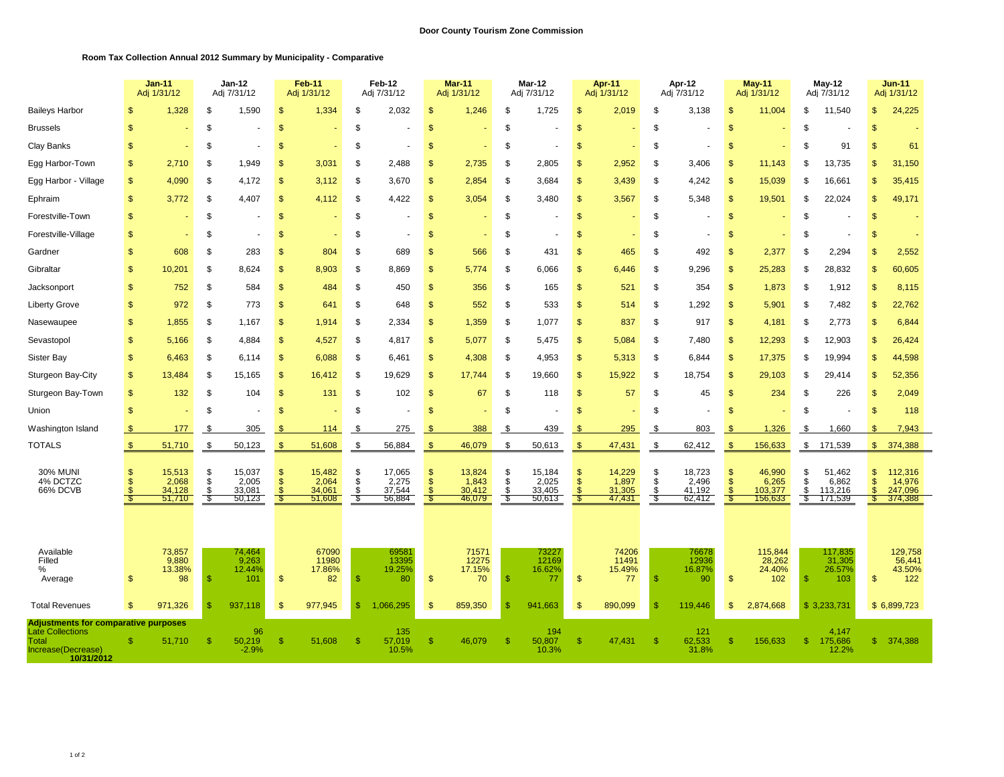## **Room Tax Collection Annual 2012 Summary by Municipality - Comparative**

|                                                                                                                     |                                                | <b>Jan-11</b><br>Adj 1/31/12        | Jan-12<br>Adj 7/31/12      |                                     | <b>Feb-11</b><br>Adj 1/31/12 |                                     | Feb-12<br>Adj 7/31/12  |                                     | Mar-11<br>Adj 1/31/12     |                                     | Mar-12<br>Adj 7/31/12  |                                     | Apr-11<br>Adj 1/31/12   |                                     | Apr-12<br>Adj 7/31/12  |                                     | <b>May-11</b><br>Adj 1/31/12 |                                       | May-12<br>Adj 7/31/12 |                                       | <b>Jun-11</b><br>Adj 1/31/12 |                                         |
|---------------------------------------------------------------------------------------------------------------------|------------------------------------------------|-------------------------------------|----------------------------|-------------------------------------|------------------------------|-------------------------------------|------------------------|-------------------------------------|---------------------------|-------------------------------------|------------------------|-------------------------------------|-------------------------|-------------------------------------|------------------------|-------------------------------------|------------------------------|---------------------------------------|-----------------------|---------------------------------------|------------------------------|-----------------------------------------|
| <b>Baileys Harbor</b>                                                                                               | \$                                             | 1,328                               | \$                         | 1,590                               | $\mathbf{\$}$                | 1,334                               | \$                     | 2,032                               | <sup>\$</sup>             | 1,246                               | -\$                    | 1.725                               | \$                      | 2,019                               | \$                     | 3.138                               | \$                           | 11.004                                | \$                    | 11.540                                | \$                           | 24,225                                  |
| <b>Brussels</b>                                                                                                     | \$                                             |                                     | \$                         |                                     | \$                           |                                     | \$                     |                                     | $\mathsf{\$}$             |                                     | $\mathfrak{L}$         |                                     | $\mathsf{\$}$           |                                     | \$                     |                                     | $\mathfrak{s}$               |                                       | \$                    |                                       |                              |                                         |
| Clay Banks                                                                                                          | \$                                             |                                     | \$                         |                                     | $\mathfrak{s}$               |                                     | \$                     |                                     | \$                        |                                     | \$                     |                                     | $\mathfrak{s}$          |                                     | \$                     |                                     | $\mathbf{s}$                 |                                       | \$                    | 91                                    |                              | 61                                      |
| Egg Harbor-Town                                                                                                     | \$                                             | 2,710                               | \$                         | 1,949                               | $\mathfrak{s}$               | 3,031                               | \$                     | 2,488                               | \$                        | 2,735                               | -\$                    | 2,805                               | $\mathbf{s}$            | 2,952                               | -S                     | 3,406                               | $\mathbf{s}$                 | 11,143                                | S                     | 13,735                                |                              | 31,150                                  |
| Egg Harbor - Village                                                                                                | $\mathfrak{s}$                                 | 4,090                               | \$                         | 4,172                               | \$                           | 3,112                               | \$                     | 3,670                               | \$                        | 2,854                               | -\$                    | 3,684                               | \$                      | 3,439                               | \$                     | 4,242                               | \$                           | 15,039                                | \$                    | 16,661                                |                              | 35,415                                  |
| Ephraim                                                                                                             | $\mathfrak{s}$                                 | 3,772                               | \$                         | 4,407                               | \$                           | 4,112                               | \$                     | 4,422                               | $\mathbf{\$}$             | 3,054                               | -\$                    | 3,480                               | \$                      | 3,567                               | \$                     | 5,348                               | \$                           | 19,501                                | \$                    | 22,024                                |                              | 49,171                                  |
| Forestville-Town                                                                                                    | $\mathfrak{s}$                                 |                                     | \$                         |                                     | $\mathfrak{s}$               |                                     | \$                     |                                     | <sup>\$</sup>             |                                     | \$                     |                                     | \$                      |                                     | \$                     |                                     | \$                           |                                       | S                     |                                       | -\$                          |                                         |
| Forestville-Village                                                                                                 | \$                                             |                                     | \$                         |                                     | <sup>\$</sup>                |                                     | S                      |                                     | S                         |                                     | \$                     |                                     | $\mathfrak{F}$          |                                     | S                      |                                     | $\mathbb{S}$                 |                                       | S                     |                                       |                              |                                         |
| Gardner                                                                                                             | \$                                             | 608                                 | \$                         | 283                                 | \$                           | 804                                 | \$                     | 689                                 | \$                        | 566                                 | - \$                   | 431                                 | \$                      | 465                                 | \$                     | 492                                 | \$                           | 2,377                                 | S                     | 2,294                                 |                              | 2,552                                   |
| Gibraltar                                                                                                           | \$                                             | 10,201                              | \$                         | 8,624                               | \$                           | 8,903                               | \$                     | 8,869                               | <sup>\$</sup>             | 5.774                               | -\$                    | 6,066                               | \$                      | 6,446                               | Ŝ.                     | 9.296                               | \$                           | 25,283                                | \$                    | 28,832                                | \$.                          | 60,605                                  |
| Jacksonport                                                                                                         | \$                                             | 752                                 | \$                         | 584                                 | $\mathfrak{s}$               | 484                                 | \$                     | 450                                 | $\mathfrak{s}$            | 356                                 | S.                     | 165                                 | $\mathsf{\$}$           | 521                                 | \$                     | 354                                 | \$                           | 1,873                                 | \$                    | 1,912                                 | $\mathbf{\$}$                | 8,115                                   |
| <b>Liberty Grove</b>                                                                                                | \$                                             | 972                                 | \$                         | 773                                 | $\mathfrak{s}$               | 641                                 | \$                     | 648                                 | \$                        | 552                                 | S.                     | 533                                 | $\mathsf{\$}$           | 514                                 | \$                     | 1,292                               | \$                           | 5,901                                 | \$                    | 7,482                                 |                              | 22,762                                  |
| Nasewaupee                                                                                                          | \$                                             | 1,855                               | \$                         | 1,167                               | \$                           | 1,914                               | \$                     | 2,334                               | \$                        | 1,359                               | -\$                    | 1,077                               | \$                      | 837                                 | Ŝ.                     | 917                                 | $\mathsf{\$}$                | 4,181                                 | \$                    | 2,773                                 |                              | 6,844                                   |
| Sevastopol                                                                                                          | \$                                             | 5,166                               | \$                         | 4,884                               | \$                           | 4,527                               | \$                     | 4,817                               | <sup>\$</sup>             | 5,077                               | \$                     | 5,475                               | \$                      | 5,084                               | Ŝ.                     | 7,480                               | \$                           | 12,293                                | S                     | 12,903                                | \$.                          | 26,424                                  |
| Sister Bay                                                                                                          | \$                                             | 6,463                               | \$                         | 6,114                               | $\mathbf{\$}$                | 6,088                               | \$                     | 6,461                               | $\mathfrak{s}$            | 4,308                               | -\$                    | 4,953                               | \$                      | 5,313                               | \$                     | 6,844                               | \$                           | 17,375                                | \$                    | 19,994                                | -\$                          | 44,598                                  |
| Sturgeon Bay-City                                                                                                   | \$                                             | 13,484                              | \$                         | 15,165                              | \$                           | 16,412                              | \$                     | 19,629                              | $\mathsf{\$}$             | 17,744                              | S.                     | 19,660                              | $\mathbf{s}$            | 15,922                              | \$                     | 18,754                              | \$                           | 29,103                                | \$                    | 29,414                                |                              | 52,356                                  |
| Sturgeon Bay-Town                                                                                                   | $\frac{2}{3}$                                  | 132                                 | \$                         | 104                                 | $\mathfrak{s}$               | 131                                 | \$                     | 102                                 | $\mathbf{s}$              | 67                                  | S.                     | 118                                 | $\mathbf{s}$            | 57                                  | \$                     | 45                                  | $\mathsf{\$}$                | 234                                   | \$                    | 226                                   |                              | 2,049                                   |
| Union                                                                                                               | $\mathfrak{s}$                                 |                                     | \$                         |                                     | \$                           |                                     | \$                     | ٠                                   | <sup>\$</sup>             |                                     | -\$                    |                                     | \$                      |                                     | \$                     |                                     | \$                           |                                       | S                     |                                       | -SS                          | 118                                     |
| Washington Island                                                                                                   | \$                                             | 177                                 | \$.                        | 305                                 | \$                           | 114                                 | Ŝ.                     | 275                                 | S.                        | 388                                 | -S                     | 439                                 | \$.                     | 295                                 | - \$                   | 803                                 | \$.                          | 1,326                                 | \$.                   | 1,660                                 | £.                           | 7,943                                   |
| <b>TOTALS</b>                                                                                                       | $\mathbb{S}$                                   | 51,710                              | S                          | 50,123                              | $\mathbf{s}$                 | 51,608                              | <b>S</b>               | 56,884                              | $\mathbf{s}$              | 46,079                              | <b>S</b>               | 50,613                              | \$                      | 47,431                              | \$                     | 62,412                              | \$                           | 156,633                               | \$                    | 171,539                               |                              | \$374,388                               |
| <b>30% MUNI</b><br>4% DCTZC<br>66% DCVB                                                                             | $\mathbf{s}$<br>$\mathfrak{s}$<br>$\mathbf{s}$ | 15,513<br>2,068<br>34,128<br>51,710 | $\frac{\$}{\$}$<br>\$<br>S | 15,037<br>2,005<br>33,081<br>50,123 | \$<br>\$                     | 15,482<br>2,064<br>34,061<br>51,608 | \$<br>\$<br>\$<br>- \$ | 17,065<br>2,275<br>37,544<br>56,884 | \$<br>$\mathbf{\$}$<br>-8 | 13,824<br>1,843<br>30,412<br>46,079 | S.<br>\$<br>S.<br>- 96 | 15,184<br>2,025<br>33,405<br>50,613 | \$<br>$\tilde{s}$<br>\$ | 14.229<br>1,897<br>31,305<br>47,431 | \$<br>\$<br>\$<br>- \$ | 18,723<br>2,496<br>41,192<br>62,412 | \$                           | 46.990<br>6,265<br>103,377<br>156,633 | \$<br>\$<br>\$<br>S   | 51.462<br>6,862<br>113,216<br>171,539 |                              | 112,316<br>14,976<br>247,096<br>374,388 |
| Available<br>Filled<br>%<br>Average                                                                                 | $\mathfrak{s}$                                 | 73,857<br>9,880<br>13.38%<br>98     | \$                         | 74,464<br>9,263<br>12.44%<br>101    | $\mathfrak{s}$               | 67090<br>11980<br>17.86%<br>82      | $\mathbf{\$}$          | 69581<br>13395<br>19.25%<br>80      | $\mathfrak{s}$            | 71571<br>12275<br>17.15%<br>70      | -\$                    | 73227<br>12169<br>16.62%<br>77      | $\mathsf{\$}$           | 74206<br>11491<br>15.49%<br>77      | -\$                    | 76678<br>12936<br>16.87%<br>90      | $\mathsf{\$}$                | 115,844<br>28,262<br>24.40%<br>102    | $\mathbf{s}$          | 117,835<br>31,305<br>26.57%<br>103    | $\mathbf{\$}$                | 129,758<br>56,441<br>43.50%<br>122      |
| <b>Total Revenues</b>                                                                                               | $\mathfrak{s}$                                 | 971,326                             | \$                         | 937,118                             | \$                           | 977,945                             | \$                     | 1,066,295                           | \$                        | 859,350                             | -\$                    | 941,663                             | \$                      | 890,099                             |                        | 119,446                             | \$                           | 2,874,668                             |                       | \$3,233,731                           |                              | \$6,899,723                             |
| <b>Adjustments for comparative purposes</b><br><b>Late Collections</b><br>Total<br>Increase(Decrease)<br>10/31/2012 | \$                                             | 51,710                              | S                          | 96<br>50,219<br>$-2.9%$             | S                            | 51,608                              | -S                     | 135<br>57,019<br>10.5%              | -S                        | 46,079                              | - \$                   | 194<br>50,807<br>10.3%              | \$                      | 47,431                              |                        | 121<br>62,533<br>31.8%              | £.                           | 156,633                               | -S                    | 4,147<br>175,686<br>12.2%             |                              | 374,388                                 |